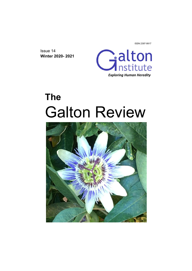ISSN 2397-9917

Issue 14 **Winter 2020- 2021**



# **The**  Galton Review

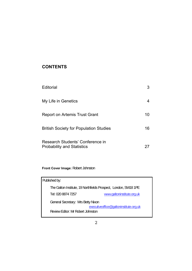# **CONTENTS**

| Editorial                                                             |    |
|-----------------------------------------------------------------------|----|
| My Life in Genetics                                                   |    |
| Report on Artemis Trust Grant                                         | 10 |
| <b>British Society for Population Studies</b>                         | 16 |
| Research Students' Conference in<br><b>Probability and Statistics</b> |    |

**Front Cover Image:** Robert Johnston

| Published by:                                                   |                                        |  |
|-----------------------------------------------------------------|----------------------------------------|--|
| The Galton Institute, 19 Northfields Prospect, London, SW18 1PE |                                        |  |
| Tel: 020 8874 7257                                              | www.galtoninstitute.org.uk             |  |
| General Secretary: Mrs Betty Nixon                              |                                        |  |
|                                                                 | executiveoffice@galtoninstitute.org.uk |  |
| Review Editor: Mr Robert Johnston                               |                                        |  |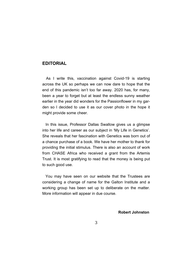## **EDITORIAL**

As I write this, vaccination against Covid-19 is starting across the UK so perhaps we can now dare to hope that the end of this pandemic isn't too far away. 2020 has, for many, been a year to forget but at least the endless sunny weather earlier in the year did wonders for the Passionflower in my garden so I decided to use it as our cover photo in the hope it might provide some cheer.

In this issue, Professor Dallas Swallow gives us a glimpse into her life and career as our subject in 'My Life in Genetics'. She reveals that her fascination with Genetics was born out of a chance purchase of a book. We have her mother to thank for providing the initial stimulus. There is also an account of work from CHASE Africa who received a grant from the Artemis Trust. It is most gratifying to read that the money is being put to such good use.

 You may have seen on our website that the Trustees are considering a change of name for the Galton Institute and a working group has been set up to deliberate on the matter. More information will appear in due course.

 **Robert Johnston**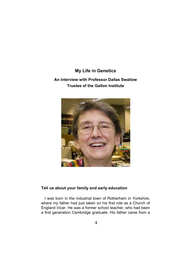# **My Life in Genetics An Interview with Professor Dallas Swallow Trustee of the Galton Institute**



## **Tell us about your family and early education**

I was born in the industrial town of Rotherham in Yorkshire, where my father had just taken on his first role as a Church of England Vicar. He was a former school teacher, who had been a first generation Cambridge graduate. His father came from a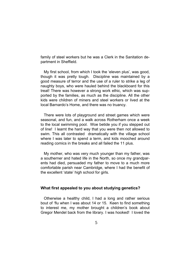family of steel workers but he was a Clerk in the Sanitation department in Sheffield.

 My first school, from which I took the 'eleven plus', was good, though it was pretty tough. Discipline was maintained by a good measure of terror and the use of a ruler to strike a leg of naughty boys, who were hauled behind the blackboard for this treat! There was however a strong work ethic, which was supported by the families, as much as the discipline. All the other kids were children of miners and steel workers or lived at the local Barnardo's Home, and there was no truancy.

 There were lots of playground and street games which were seasonal, and fun, and a walk across Rotherham once a week to the local swimming pool. Woe betide you if you stepped out of line! I learnt the hard way that you were then not allowed to swim. This all contrasted dramatically with the village school where I was later to spend a term, and kids mooched around reading comics in the breaks and all failed the 11 plus.

 My mother, who was very much younger than my father, was a southerner and hated life in the North, so once my grandparents had died, persuaded my father to move to a much more comfortable parish near Cambridge, where I had the benefit of the excellent 'state' high school for girls.

## **What first appealed to you about studying genetics?**

Otherwise a healthy child, I had a long and rather serious bout of 'flu when I was about 14 or 15. Keen to find something to interest me, my mother brought a children's book about Gregor Mendel back from the library. I was hooked! I loved the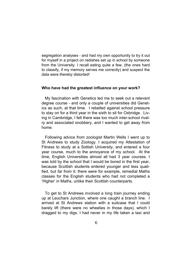segregation analyses - and had my own opportunity to try it out for myself in a project on radishes set up in school by someone from the University. I recall eating quite a few, (the ones hard to classify, if my memory serves me correctly) and suspect the data were thereby distorted!

#### **Who have had the greatest influence on your work?**

My fascination with Genetics led me to seek out a relevant degree course - and only a couple of universities did Genetics as such, at that time. I rebelled against school pressure to stay on for a third year in the sixth to sit for Oxbridge. Living in Cambridge, I felt there was too much inter-school rivalry and associated snobbery, and I wanted to get away from home.

 Following advice from zoologist Martin Wells I went up to St Andrews to study Zoology. I acquired my Attestation of Fitness to study at a Sottish University, and entered a four year course, much to the annoyance of my school. At the time, English Universities almost all had 3 year courses. I was told by the school that I would be bored in the first year, because Scottish students entered younger and less qualified, but far from it; there were for example, remedial Maths classes for the English students who had not completed a 'Higher' in Maths, unlike their Scottish counterparts.

 To get to St Andrews involved a long train journey ending up at Leuchars Junction, where one caught a branch line. I arrived at St Andrews station with a suitcase that I could barely lift (there were no wheelies in those days), which I dragged to my digs. I had never in my life taken a taxi and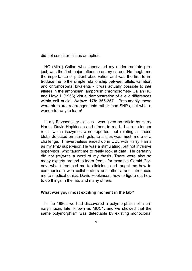did not consider this as an option.

 HG (Mick) Callan who supervised my undergraduate project, was the first major influence on my career. He taught me the importance of patient observation and was the first to introduce me to the simple relationship between allelic variation and chromosomal bivalents - it was actually possible to *see*  alleles in the amphibian lampbrush chromosomes- Callan HG and Lloyd L (1956) Visual demonstration of allelic differences within cell nuclei. *Nature* **178**: 355-357. Presumably these were structural rearrangements rather than SNPs, but what a wonderful way to learn!

 In my Biochemistry classes I was given an article by Harry Harris, David Hopkinson and others to read. I can no longer recall which isozymes were reported, but relating all those blobs detected on starch gels, to alleles was much more of a challenge. I nevertheless ended up in UCL with Harry Harris as my PhD supervisor. He was a stimulating, but not intrusive supervisor, who taught me to really look at data. He certainly did not (re)write a word of my thesis. There were also so many experts around to learn from - for example Gerald Corney, who introduced me to clinicians and taught me how to communicate with collaborators and others, and introduced me to medical ethics; David Hopkinson, how to figure out how to do things in the lab; and many others.

#### **What was your most exciting moment in the lab?**

In the 1980s we had discovered a polymorphism of a urinary mucin, later known as MUC1, and we showed that the same polymorphism was detectable by existing monoclonal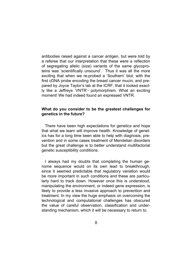antibodies raised against a cancer antigen, but were told by a referee that our interpretation that these were a reflection of segregating allelic (size) variants of the same glycoproteins was 'scientifically unsound'. Thus it was all the more exciting that when we re-probed a 'Southern' blot, with the first cDNA probe encoding the breast cancer mucin, and prepared by Joyce Taylor's lab at the ICRF, that it looked exactly like a Jeffreys 'VNTR'- polymorphism. What an exciting moment! We had indeed found an expressed VNTR.

## **What do you consider to be the greatest challenges for genetics in the future?**

There have been high expectations for genetics and hope that what we learn will improve health. Knowledge of genetics has for a long time been able to help with diagnosis, prevention and in some cases treatment of Mendelian disorders but the great challenge is to better understand multifactorial genetic susceptibility conditions.

 I always had my doubts that completing the human genome sequence would on its own lead to breakthrough, since it seemed predictable that regulatory variation would be more important in such conditions and these are particularly hard to track down. However once this is understood, manipulating the environment, or indeed gene expression, is likely to provide a less invasive approach to prevention and treatment. In my view the huge emphasis on overcoming the technological and computational challenges has obscured the value of careful observation, classification and understanding mechanism, which it will be necessary to return to.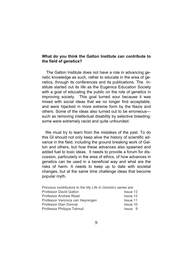## **What do you think the Galton Institute can contribute to the field of genetics?**

The Galton Institute does not have a role in advancing genetic knowledge as such, rather to educate in the area of genetics, through its conferences and its publications. The Institute started out its life as the Eugenics Education Society with a goal of educating the public on the role of genetics in improving society. This goal turned sour because it was mixed with social ideas that we no longer find acceptable, and were hijacked in more extreme form by the Nazis and others. Some of the ideas also turned out to be erroneous such as removing intellectual disability by selective breeding; some were extremely racist and quite unfounded.

 We must try to learn from the mistakes of the past. To do this GI should not only keep alive the history of scientific advance in the field, including the ground breaking work of Galton and others, but how these advances also spawned and added fuel to toxic ideas. It needs to provide a forum for discussion, particularly in the area of ethics, of how advances in genetics can be used in a beneficial way and what are the risks of harm. It needs to keep up to date with societal changes, but at the same time challenge ideas that become popular myth.

| Previous contributors to the My Life in Genetics series are: |
|--------------------------------------------------------------|
| Issue 13                                                     |
| <b>Issue 12</b>                                              |
| <b>Issue 11</b>                                              |
| Issue 10                                                     |
| Issue 9                                                      |
|                                                              |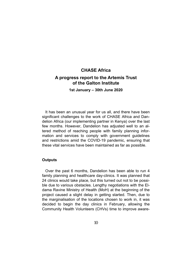## **CHASE Africa A progress report to the Artemis Trust of the Galton Institute**

**1st January – 30th June 2020** 

 It has been an unusual year for us all, and there have been significant challenges to the work of CHASE Africa and Dandelion Africa (our implementing partner in Kenya) over the last few months. However, Dandelion has adjusted well to an altered method of reaching people with family planning information and services to comply with government guidelines and restrictions amid the COVID-19 pandemic, ensuring that these vital services have been maintained as far as possible.

#### **Outputs**

Over the past 6 months, Dandelion has been able to run 4 family planning and healthcare day-clinics. It was planned that 24 clinics would take place, but this turned out not to be possible due to various obstacles. Lengthy negotiations with the Eldama Ravine Ministry of Health (MoH) at the beginning of the project caused a slight delay in getting started. Then, due to the marginalisation of the locations chosen to work in, it was decided to begin the day clinics in February, allowing the Community Health Volunteers (CHVs) time to improve aware-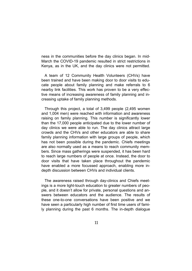ness in the communities before the day clinics began. In mid-March the COVID-19 pandemic resulted in strict restrictions in Kenya, as in the UK, and the day clinics were not permitted.

 A team of 12 Community Health Volunteers (CHVs) have been trained and have been making door to door visits to educate people about family planning and make referrals to 6 nearby link facilities. This work has proven to be a very effective means of increasing awareness of family planning and increasing uptake of family planning methods.

 Through this project, a total of 3,499 people (2,495 women and 1,004 men) were reached with information and awareness raising on family planning. This number is significantly lower than the 17,000 people anticipated due to the lower number of day clinics we were able to run. The day clinics attract large crowds and the CHVs and other educators are able to share family planning information with large groups of people, which has not been possible during the pandemic. Chiefs meetings are also normally used as a means to reach community members. Since mass gatherings were suspended, it has been hard to reach large numbers of people at once. Instead, the door to door visits that have taken place throughout the pandemic have enabled a more focussed approach, enabling more indepth discussion between CHVs and individual clients.

 The awareness raised through day-clinics and Chiefs meetings is a more light-touch education to greater numbers of people, and it doesn't allow for private, personal questions and answers between educators and the audience. The results of these one-to-one conversations have been positive and we have seen a particularly high number of first time users of family planning during the past 6 months. The in-depth dialogue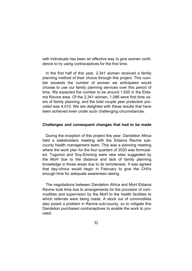with individuals has been an effective way to give women confidence to try using contraceptives for the first time.

In the first half of this year, 2,341 women received a family planning method of their choice through this project. This number exceeds the number of women we anticipated would choose to use our family planning services over this period of time. We expected the number to be around 1,620 in the Eldama Ravine area. Of the 2,341 women, 1,086 were first time users of family planning, and the total couple year protection provided was 4,010. We are delighted with these results that have been achieved even under such challenging circumstances.

### **Challenges and consequent changes that had to be made**

During the inception of this project this year, Dandelion Africa held a stakeholders meeting with the Eldama Ravine subcounty health management team. This was a planning meeting where the work plan for the four quarters of 2020 was formulated. Tugumoi and Soy-Emining were new sites suggested by the MoH due to the distance and lack of family planning knowledge in those areas due to its remoteness. It was agreed that day-clinics would begin in February to give the CHVs enough time for adequate awareness raising.

 The negotiations between Dandelion Africa and MoH Eldama Ravine took time due to arrangements for the provision of commodities and supervision by the MoH to the health facilities to which referrals were being made. A stock out of commodities also posed a problem in Ravine sub-county, so to mitigate this Dandelion purchased contraceptives to enable the work to proceed.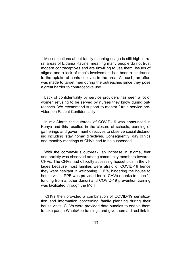Misconceptions about family planning usage is still high in rural areas of Eldama Ravine, meaning many people do not trust modern contraceptives and are unwilling to use them. Issues of stigma and a lack of men's involvement has been a hindrance to the uptake of contraceptives in the area. As such, an effort was made to target men during the outreaches since they pose a great barrier to contraceptive use.

 Lack of confidentiality by service providers has seen a lot of women refusing to be served by nurses they know during outreaches. We recommend support to mentor / train service providers on Patient Confidentiality.

 In mid-March the outbreak of COVID-19 was announced in Kenya and this resulted in the closure of schools, banning of gatherings and government directives to observe social distancing including 'stay home' directives. Consequently, day clinics and monthly meetings of CHVs had to be suspended.

 With the coronavirus outbreak, an increase in stigma, fear and anxiety was observed among community members towards CHVs. The CHVs had difficulty accessing households in the villages because most families were afraid of COVID-19 hence they were hesitant in welcoming CHVs, hindering the house to house visits. PPE was provided for all CHVs (thanks to specific funding from another donor) and COVID-19 prevention training was facilitated through the MoH.

 CHVs then provided a combination of COVID-19 sensitization and information concerning family planning during their house visits. CHVs were provided data bundles to enable them to take part in WhatsApp trainings and give them a direct link to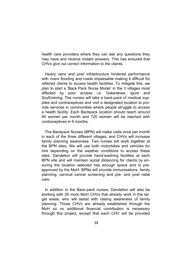health care providers where they can ask any questions they may have and receive instant answers. This has ensured that CHVs give out correct information to the clients.

 Heavy rains and poor infrastructure hindered performance with rivers flooding and roads impassable making it difficult for referred clients to access health facilities. To mitigate this, we plan to start a 'Back Pack Nurse Model' in the 3 villages most affected by poor access i.e. Gatarakwa, Igure and SoyEmining. The nurses will take a back-pack of medical supplies and contraceptives and visit a designated location to provide services in communities where people struggle to access a health facility. Each Backpack location should reach around 40 women per month and 720 women will be reached with contraceptives in 6 months.

 The Backpack Nurses (BPN) will make visits once per month in each of the three different villages, and CHVs will increase family planning awareness. Two nurses will work together at the BPN sites. We will use both motorbikes and vehicles for hire depending on the weather conditions to access these sites. Dandelion will provide hand-washing facilities at each BPN site and will maintain social distancing for clients by ensuring the location selected has enough space and is preapproved by the MoH. BPNs will provide immunisations, family planning, cervical cancer screening and pre- and post natal care.

 In addition to the Back-pack nurses, Dandelion will also be working with 26 more MoH CHVs that already work in the target areas, who will assist with raising awareness of family planning. Those CHVs are already established through the MoH so no additional financial contribution is necessary through this project, except that each CHV will be provided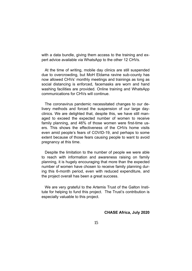with a data bundle, giving them access to the training and expert advice available via WhatsApp to the other 12 CHVs.

 At the time of writing, mobile day clinics are still suspended due to overcrowding, but MoH Eldama ravine sub-county has now allowed CHVs' monthly meetings and trainings as long as social distancing is enforced, facemasks are worn and hand washing facilities are provided. Online training and WhatsApp communications for CHVs will continue.

 The coronavirus pandemic necessitated changes to our delivery methods and forced the suspension of our large dayclinics. We are delighted that, despite this, we have still managed to exceed the expected number of women to receive family planning, and 46% of those women were first-time users. This shows the effectiveness of the CHVs home visits even amid people's fears of COVID-19, and perhaps to some extent because of those fears causing people to want to avoid pregnancy at this time.

 Despite the limitation to the number of people we were able to reach with information and awareness raising on family planning, it is hugely encouraging that more than the expected number of women have chosen to receive family planning during this 6-month period, even with reduced expenditure, and the project overall has been a great success.

 We are very grateful to the Artemis Trust of the Galton Institute for helping to fund this project. The Trust's contribution is especially valuable to this project.

### **CHASE Africa, July 2020**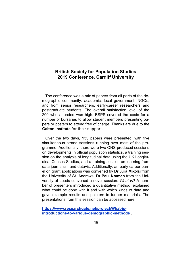## **British Society for Population Studies 2019 Conference, Cardiff University**

 The conference was a mix of papers from all parts of the demographic community: academic, local government, NGOs, and from senior researchers, early-career researchers and postgraduate students. The overall satisfaction level of the 200 who attended was high. BSPS covered the costs for a number of bursaries to allow student members presenting papers or posters to attend free of charge. Thanks are due to the **Galton Institute** for their support.

 Over the two days, 133 papers were presented, with five simultaneous strand sessions running over most of the programme. Additionally, there were two ONS-produced sessions on developments in official population statistics, a training session on the analysis of longitudinal data using the UK Longitudinal Census Studies, and a training session on learning from data journalism and datavis. Additionally, an early career panel on grant applications was convened by **Dr Julia Mikolai** from the University of St. Andrews. **Dr Paul Norman** from the University of Leeds convened a novel session: *What is?* A number of presenters introduced a quantitative method, explained what could be done with it and with which kinds of data and gave example results and pointers to further materials. The presentations from this session can be accessed here:

**https://www.researchgate.net/project/What-isintroductions-to-various-demographic-methods** .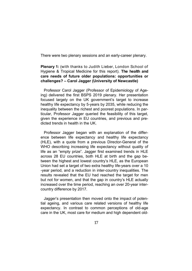There were two plenary sessions and an early-career plenary.

## **Plenary 1:** (with thanks to Judith Lieber, London School of Hygiene & Tropical Medicine for this report). **The health and care needs of future older populations: opportunities or challenges? – Carol Jagger (University of Newcastle)**

 Professor Carol Jagger (Professor of Epidemiology of Ageing) delivered the first BSPS 2019 plenary. Her presentation focused largely on the UK government's target to increase healthy life expectancy by 5-years by 2035, while reducing the inequality between the richest and poorest populations. In particular, Professor Jagger queried the feasibility of this target, given the experience in EU countries, and previous and predicted trends in health in the UK.

Professor Jagger began with an explanation of the difference between life expectancy and healthy life expectancy (HLE), with a quote from a previous Director-General of the WHO describing increasing life expectancy without quality of life as an "empty prize". Jagger first examined trends in HLE across 28 EU countries, both HLE at birth and the gap between the highest and lowest country's HLE, as the European Union had set a target of two extra healthy life-years over a 10 -year period, and a reduction in inter-country inequalities. The results revealed that the EU had reached the target for men but not for women, and that the gap in country's HLE actually increased over the time period, reaching an over 20-year intercountry difference by 2017.

Jagger's presentation then moved onto the impact of potential ageing, and various care related versions of healthy life expectancy. In contrast to common perceptions of old-age care in the UK, most care for medium and high dependent old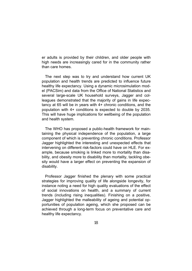er adults is provided by their children, and older people with high needs are increasingly cared for in the community rather than care homes.

 The next step was to try and understand how current UK population and health trends are predicted to influence future healthy life expectancy. Using a dynamic microsimulation model (PACSim) and data from the Office of National Statistics and several large-scale UK household surveys, Jagger and colleagues demonstrated that the majority of gains in life expectancy at 65 will be in years with 4+ chronic conditions, and the population with 4+ conditions is expected to double by 2035. This will have huge implications for wellbeing of the population and health system.

The WHO has proposed a public-health framework for maintaining the physical independence of the population, a large component of which is preventing chronic conditions. Professor Jagger highlighted the interesting and unexpected effects that intervening on different risk-factors could have on HLE. For example, because smoking is linked more to mortality than disability, and obesity more to disability than mortality, tackling obesity would have a larger effect on preventing the expansion of disability.

Professor Jagger finished the plenary with some practical strategies for improving quality of life alongside longevity, for instance noting a need for high quality evaluations of the effect of social innovations on health, and a summary of current trends (including rising inequalities). Finishing on a positive, Jagger highlighted the malleability of ageing and potential opportunities of population ageing, which she proposed can be achieved through a long-term focus on preventative care and healthy life expectancy.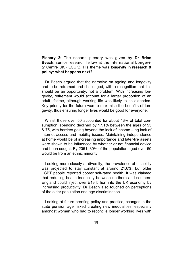**Plenary 2:** The second plenary was given by **Dr Brian Beach**, senior research fellow at the International Longevity Centre UK (ILCUK). His theme was **longevity in research & policy: what happens next?**

 Dr Beach argued that the narrative on ageing and longevity had to be reframed and challenged, with a recognition that this should be an opportunity, not a problem. With increasing longevity, retirement would account for a larger proportion of an adult lifetime, although working life was likely to be extended. Key priority for the future was to maximise the benefits of longevity, thus ensuring longer lives would be good for everyone.

 Whilst those over 50 accounted for about 43% of total consumption, spending declined by 17.1% between the ages of 55 & 75, with barriers going beyond the lack of income – eg lack of internet access and mobility issues. Maintaining independence at home would be of increasing importance and later-life assets were shown to be influenced by whether or not financial advice had been sought. By 2051, 30% of the population aged over 50 would be from an ethnic minority.

 Looking more closely at diversity, the prevalence of disability was projected to stay constant at around 21.6%, but older LGBT people reported poorer self-rated health. It was claimed that reducing health inequality between northern and southern England could inject over £13 billion into the UK economy by increasing productivity. Dr Beach also touched on perceptions of the older population and age discrimination.

Looking at future proofing policy and practice, changes in the state pension age risked creating new inequalities, especially amongst women who had to reconcile longer working lives with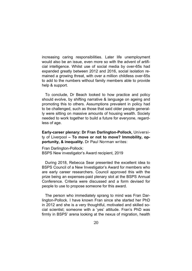increasing caring responsibilities. Later life unemployment would also be an issue, even more so with the advent of artificial intelligence. Whilst use of social media by over-65s had expanded greatly between 2012 and 2016, social isolation remained a growing threat, with over a million childless over-65s to add to the numbers without family members able to provide help & support.

To conclude, Dr Beach looked to how practice and policy should evolve, by shifting narrative & language on ageing and promoting this to others. Assumptions prevalent in policy had to be challenged, such as those that said older people generally were sitting on massive amounts of housing wealth. Society needed to work together to build a future for everyone, regardless of age.

**Early-career plenary: Dr Fran Darlington-Pollock,** University of Liverpool **– To move or not to move? Immobility, opportunity, & inequality.** Dr Paul Norman writes:

Fran Darlington-Pollock: BSPS New investigator's Award recipient, 2019

 During 2018, Rebecca Sear presented the excellent idea to BSPS Council of a New Investigator's Award for members who are early career researchers. Council approved this with the prize being an expenses-paid plenary slot at the BSPS Annual Conference. Criteria were discussed and a form devised for people to use to propose someone for this award.

 The person who immediately sprang to mind was Fran Darlington-Pollock. I have known Fran since she started her PhD in 2012 and she is a very thoughtful, motivated and skilled social scientist; someone with a 'yes' attitude. Fran's PhD was firmly in BSPS' arena looking at the nexus of migration, health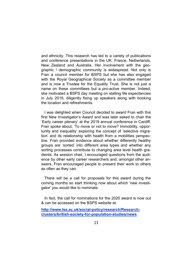and ethnicity. This research has led to a variety of publications and conference presentations in the UK, France, Netherlands, New Zealand and Australia. Her involvement with the geographic / demographic community is widespread. Not only is Fran a council member for BSPS but she has also engaged with the Royal Geographical Society as a committee member and is now a Trustee for the Equality Trust. She is not just a name on these committees but a pro-active member. Indeed, she motivated a BSPS day meeting on stalling life expectancies in July 2019, diligently fixing up speakers along with booking the location and refreshments.

 I was delighted when Council decided to award Fran with this first New Investigator's Award and was later asked to chair the 'Early career plenary' at the 2019 annual conference in Cardiff. Fran spoke about, 'To move or not to move? Immobility, opportunity and inequality' exploring the concept of 'selective migration' and its relationship with health from a mobilities perspective. Fran provided evidence about whether differently healthy groups are 'sorted' into different area types and whether any sorting processes contribute to changing area level health gradients. As session chair, I encouraged questions from the audience by other early career researchers and, amongst other answers, Fran encouraged people to present their work to others as often as they can.

 There will be a call for proposals for this award during the coming months so start thinking now about which 'new investigator' you would like to nominate.

 In fact, the call for nominations for the 2020 award is now out & can be accessed on the BSPS website at:

**http://www.lse.ac.uk/social-policy/research/Researchclusters/british-society-for-population-studies/news**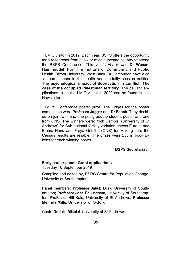LMIC visitor in 2019: Each year, BSPS offers the opportunity for a researcher from a low or middle-income country to attend the BSPS Conference. This year's visitor was **Dr Weeam Hammoudeh** from the Institute of Community and Public Health, Birzeit University, West Bank. Dr Hamoudeh gave a co -authored paper in the health and mortality session entitled **The psychological impact of deprivation in conflict: The case of the occupied Palestinian territory**. The call for applications to be the LMIC visitor in 2020 can be found in this **Newsletter** 

 BSPS Conference poster prize: The judges for the poster competition were **Professor Jagger** and **Dr Beach.** They decided on joint winners: one postgraduate student poster and one from ONS. The winners were: Nick Campisi (University of St Andrews) for Sub-national fertility variation across Europe and Emma Hand and Freya Griffiths (ONS) for Making sure the Census results are reliable. The prizes were £50 in book tokens for each winning poster.

## **BSPS Secretariat**

## **Early career panel: Grant applications**

Tuesday 10 September 2019

Compiled and edited by, ESRC Centre for Population Change, University of Southampton

Panel members: **Professor Jakub Bijak**, University of Southampton; **Professor Jane Falkingham,** University of Southampton; **Professor Hill Kulu,** University of St Andrews; **Professor Melinda Mills,** University of Oxford

Chair: **Dr Julia Mikolai,** University of St Andrews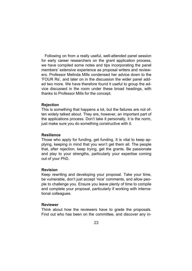Following on from a really useful, well-attended panel session for early career researchers on the grant application process, we have compiled some notes and tips incorporating the panel members' extensive experience as proposal writers and reviewers. Professor Melinda Mills condensed her advice down to the 'FOUR Rs', and later on in the discussion the wider panel added two more. We have therefore found it useful to group the advice discussed in the room under these broad headings, with thanks to Professor Mills for the concept.

#### **Rejection**

This is something that happens a lot, but the failures are not often widely talked about. They are, however, an important part of the applications process. Don't take it personally, it is the norm, just make sure you do something constructive with it.

#### **Resilience**

Those who apply for funding, get funding. It is vital to keep applying, keeping in mind that you won't get them all. The people that, after rejection, keep trying, get the grants. Be passionate and play to your strengths, particularly your expertise coming out of your PhD.

#### **Revision**

Keep rewriting and developing your proposal. Take your time, be vulnerable, don't just accept 'nice' comments, and allow people to challenge you. Ensure you leave plenty of time to compile and complete your proposal, particularly if working with international colleagues.

#### **Reviewer**

Think about how the reviewers have to grade the proposals. Find out who has been on the committee, and discover any in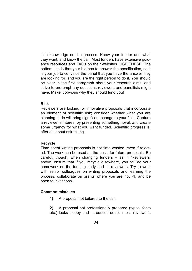side knowledge on the process. Know your funder and what they want, and know the call. Most funders have extensive guidance resources and FAQs on their websites. USE THESE. The bottom line is that your bid has to answer the specification, so it is your job to convince the panel that you have the answer they are looking for, and you are the right person to do it. You should be clear in the first paragraph about your research aims, and strive to pre-empt any questions reviewers and panellists might have. Make it obvious why they should fund you!

## **Risk**

Reviewers are looking for innovative proposals that incorporate an element of scientific risk; consider whether what you are planning to do will bring significant change to your field. Capture a reviewer's interest by presenting something novel, and create some urgency for what you want funded. Scientific progress is, after all, about risk-taking.

## **Recycle**

Time spent writing proposals is not time wasted, even if rejected. The work can be used as the basis for future proposals. Be careful, though, when changing funders – as in 'Reviewers' above, ensure that if you recycle elsewhere, you still do your homework on the funding body and its reviewers. Try to work with senior colleagues on writing proposals and learning the process, collaborate on grants where you are not PI, and be open to invitations.

## **Common mistakes**

 **1)** A proposal not tailored to the call.

 2) A proposal not professionally prepared (typos, fonts etc.) looks sloppy and introduces doubt into a reviewer's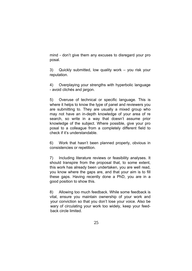mind - don't give them any excuses to disregard your pro posal.

 3) Quickly submitted, low quality work – you risk your reputation.

 4) Overplaying your strengths with hyperbolic language - avoid clichés and jargon.

 5) Overuse of technical or specific language. This is where it helps to know the type of panel and reviewers you are submitting to. They are usually a mixed group who may not have an in-depth knowledge of your area of re search, so write in a way that doesn't assume prior knowledge of the subject. Where possible, give your pro posal to a colleague from a completely different field to check if it's understandable.

 6) Work that hasn't been planned properly, obvious in consistencies or repetition.

 7) Including literature reviews or feasibility analyses. It should transpire from the proposal that, to some extent, this work has already been undertaken, you are well read, you know where the gaps are, and that your aim is to fill these gaps. Having recently done a PhD, you are in a good position to show this.

8) Allowing too much feedback. While some feedback is vital, ensure you maintain ownership of your work and your conviction so that you don't lose your voice. Also be wary of circulating your work too widely, keep your feed back circle limited.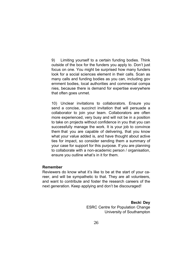9) Limiting yourself to a certain funding bodies. Think outside of the box for the funders you apply to. Don't just focus on one. You might be surprised how many funders look for a social sciences element in their calls. Scan as many calls and funding bodies as you can, including gov ernment bodies, local authorities and commercial compa nies, because there is demand for expertise everywhere that often goes unmet.

 10) Unclear invitations to collaborators. Ensure you send a concise, succinct invitation that will persuade a collaborator to join your team. Collaborators are often more experienced, very busy and will not be in a position to take on projects without confidence in you that you can successfully manage the work. It is your job to convince them that you are capable of delivering, that you know what your value added is, and have thought about active ties for impact, so consider sending them a summary of your case for support for this purpose. If you are planning to collaborate with a non-academic person / organisation, ensure you outline what's in it for them.

## **Remember**

Reviewers do know what it's like to be at the start of your career, and will be sympathetic to that. They are all volunteers, and want to contribute and foster the research careers of the next generation. Keep applying and don't be discouraged!

> **Becki Dey ESRC Centre for Population Change** University of Southampton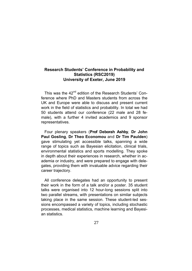## **Research Students' Conference in Probability and Statistics (RSC2019) University of Exeter, June 2019**

This was the 42<sup>nd</sup> edition of the Research Students' Conference where PhD and Masters students from across the UK and Europe were able to discuss and present current work in the field of statistics and probability. In total we had 50 students attend our conference (22 male and 28 female), with a further 4 invited academics and 9 sponsor representatives.

 Four plenary speakers (**Prof Deborah Ashby**, **Dr John Paul Gosling**, **Dr Theo Economou** and **Dr Tim Paulden**) gave stimulating yet accessible talks, spanning a wide range of topics such as Bayesian elicitation, clinical trials, environmental statistics and sports modelling. They spoke in depth about their experiences in research, whether in academia or industry, and were prepared to engage with delegates, providing them with invaluable advice regarding their career trajectory.

 All conference delegates had an opportunity to present their work in the form of a talk and/or a poster. 35 student talks were organised into 12 hour-long sessions split into two parallel streams, with presentations on similar subjects taking place in the same session. These student-led sessions encompassed a variety of topics, including stochastic processes, medical statistics, machine learning and Bayesian statistics.